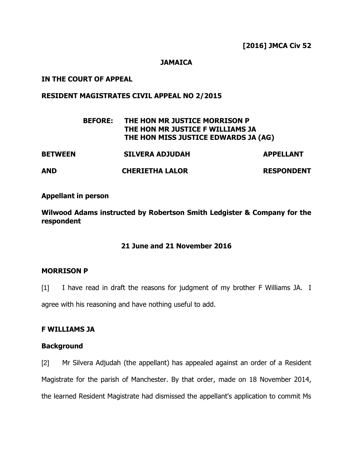### **JAMAICA**

### **IN THE COURT OF APPEAL**

### **RESIDENT MAGISTRATES CIVIL APPEAL NO 2/2015**

|                | <b>BEFORE:</b> | THE HON MR JUSTICE MORRISON P<br>THE HON MR JUSTICE F WILLIAMS JA<br>THE HON MISS JUSTICE EDWARDS JA (AG) |                   |
|----------------|----------------|-----------------------------------------------------------------------------------------------------------|-------------------|
| <b>BETWEEN</b> |                | <b>SILVERA ADJUDAH</b>                                                                                    | <b>APPELLANT</b>  |
| <b>AND</b>     |                | <b>CHERIETHA LALOR</b>                                                                                    | <b>RESPONDENT</b> |

### **Appellant in person**

**Wilwood Adams instructed by Robertson Smith Ledgister & Company for the respondent**

### **21 June and 21 November 2016**

### **MORRISON P**

[1] I have read in draft the reasons for judgment of my brother F Williams JA. I

agree with his reasoning and have nothing useful to add.

### **F WILLIAMS JA**

### **Background**

[2] Mr Silvera Adjudah (the appellant) has appealed against an order of a Resident Magistrate for the parish of Manchester. By that order, made on 18 November 2014, the learned Resident Magistrate had dismissed the appellant's application to commit Ms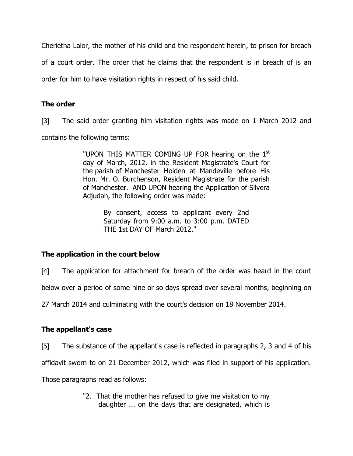Cherietha Lalor, the mother of his child and the respondent herein, to prison for breach of a court order. The order that he claims that the respondent is in breach of is an order for him to have visitation rights in respect of his said child.

## **The order**

[3] The said order granting him visitation rights was made on 1 March 2012 and contains the following terms:

> "UPON THIS MATTER COMING UP FOR hearing on the 1<sup>st</sup> day of March, 2012, in the Resident Magistrate's Court for the parish of Manchester Holden at Mandeville before His Hon. Mr. O. Burchenson, Resident Magistrate for the parish of Manchester. AND UPON hearing the Application of Silvera Adjudah, the following order was made:

> > By consent, access to applicant every 2nd Saturday from 9:00 a.m. to 3:00 p.m. DATED THE 1st DAY OF March 2012."

# **The application in the court below**

[4] The application for attachment for breach of the order was heard in the court

below over a period of some nine or so days spread over several months, beginning on

27 March 2014 and culminating with the court's decision on 18 November 2014.

## **The appellant's case**

[5] The substance of the appellant's case is reflected in paragraphs 2, 3 and 4 of his

affidavit sworn to on 21 December 2012, which was filed in support of his application.

Those paragraphs read as follows:

"2. That the mother has refused to give me visitation to my daughter ... on the days that are designated, which is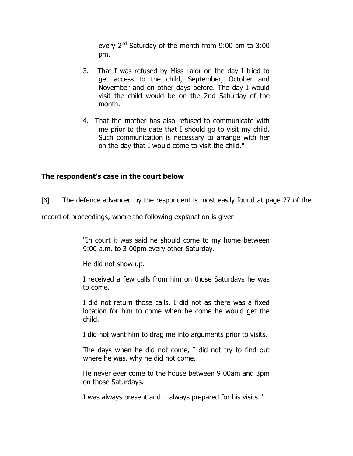every 2<sup>nd</sup> Saturday of the month from 9:00 am to 3:00 pm.

- 3. That I was refused by Miss Lalor on the day I tried to get access to the child, September, October and November and on other days before. The day I would visit the child would be on the 2nd Saturday of the month.
- 4. That the mother has also refused to communicate with me prior to the date that I should go to visit my child. Such communication is necessary to arrange with her on the day that I would come to visit the child."

### **The respondent's case in the court below**

[6] The defence advanced by the respondent is most easily found at page 27 of the

record of proceedings, where the following explanation is given:

"In court it was said he should come to my home between 9:00 a.m. to 3:00pm every other Saturday.

He did not show up.

I received a few calls from him on those Saturdays he was to come.

I did not return those calls. I did not as there was a fixed location for him to come when he come he would get the child.

I did not want him to drag me into arguments prior to visits.

The days when he did not come, I did not try to find out where he was, why he did not come.

He never ever come to the house between 9:00am and 3pm on those Saturdays.

I was always present and ...always prepared for his visits. "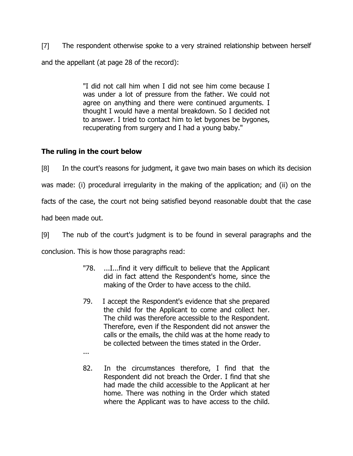[7] The respondent otherwise spoke to a very strained relationship between herself and the appellant (at page 28 of the record):

> "I did not call him when I did not see him come because I was under a lot of pressure from the father. We could not agree on anything and there were continued arguments. I thought I would have a mental breakdown. So I decided not to answer. I tried to contact him to let bygones be bygones, recuperating from surgery and I had a young baby."

# **The ruling in the court below**

[8] In the court's reasons for judgment, it gave two main bases on which its decision

was made: (i) procedural irregularity in the making of the application; and (ii) on the

facts of the case, the court not being satisfied beyond reasonable doubt that the case

had been made out.

[9] The nub of the court's judgment is to be found in several paragraphs and the

conclusion. This is how those paragraphs read:

- "78. ...I...find it very difficult to believe that the Applicant did in fact attend the Respondent's home, since the making of the Order to have access to the child.
- 79. I accept the Respondent's evidence that she prepared the child for the Applicant to come and collect her. The child was therefore accessible to the Respondent. Therefore, even if the Respondent did not answer the calls or the emails, the child was at the home ready to be collected between the times stated in the Order.
- ...
- 82. In the circumstances therefore, I find that the Respondent did not breach the Order. I find that she had made the child accessible to the Applicant at her home. There was nothing in the Order which stated where the Applicant was to have access to the child.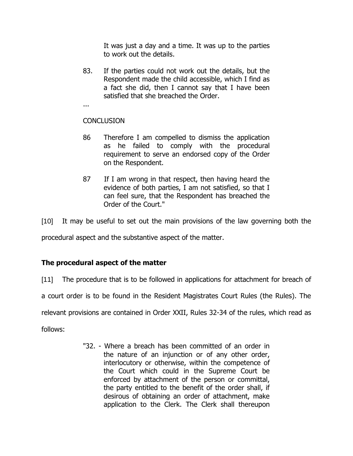It was just a day and a time. It was up to the parties to work out the details.

83. If the parties could not work out the details, but the Respondent made the child accessible, which I find as a fact she did, then I cannot say that I have been satisfied that she breached the Order.

...

## **CONCLUSION**

- 86 Therefore I am compelled to dismiss the application as he failed to comply with the procedural requirement to serve an endorsed copy of the Order on the Respondent.
- 87 If I am wrong in that respect, then having heard the evidence of both parties, I am not satisfied, so that I can feel sure, that the Respondent has breached the Order of the Court."

[10] It may be useful to set out the main provisions of the law governing both the

procedural aspect and the substantive aspect of the matter.

# **The procedural aspect of the matter**

[11] The procedure that is to be followed in applications for attachment for breach of

a court order is to be found in the Resident Magistrates Court Rules (the Rules). The

relevant provisions are contained in Order XXII, Rules 32-34 of the rules, which read as

follows:

"32. - Where a breach has been committed of an order in the nature of an injunction or of any other order, interlocutory or otherwise, within the competence of the Court which could in the Supreme Court be enforced by attachment of the person or committal, the party entitled to the benefit of the order shall, if desirous of obtaining an order of attachment, make application to the Clerk. The Clerk shall thereupon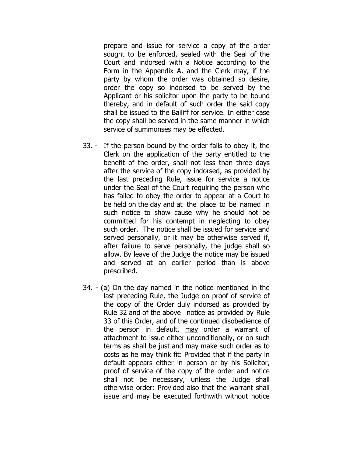prepare and issue for service a copy of the order sought to be enforced, sealed with the Seal of the Court and indorsed with a Notice according to the Form in the Appendix A. and the Clerk may, if the party by whom the order was obtained so desire, order the copy so indorsed to be served by the Applicant or his solicitor upon the party to be bound thereby, and in default of such order the said copy shall be issued to the Bailiff for service. In either case the copy shall be served in the same manner in which service of summonses may be effected.

- 33. If the person bound by the order fails to obey it, the Clerk on the application of the party entitled to the benefit of the order, shall not less than three days after the service of the copy indorsed, as provided by the last preceding Rule, issue for service a notice under the Seal of the Court requiring the person who has failed to obey the order to appear at a Court to be held on the day and at the place to be named in such notice to show cause why he should not be committed for his contempt in neglecting to obey such order. The notice shall be issued for service and served personally, or it may be otherwise served if, after failure to serve personally, the judge shall so allow. By leave of the Judge the notice may be issued and served at an earlier period than is above prescribed.
- 34. (a) On the day named in the notice mentioned in the last preceding Rule, the Judge on proof of service of the copy of the Order duly indorsed as provided by Rule 32 and of the above notice as provided by Rule 33 of this Order, and of the continued disobedience of the person in default, may order a warrant of attachment to issue either unconditionally, or on such terms as shall be just and may make such order as to costs as he may think fit: Provided that if the party in default appears either in person or by his Solicitor, proof of service of the copy of the order and notice shall not be necessary, unless the Judge shall otherwise order: Provided also that the warrant shall issue and may be executed forthwith without notice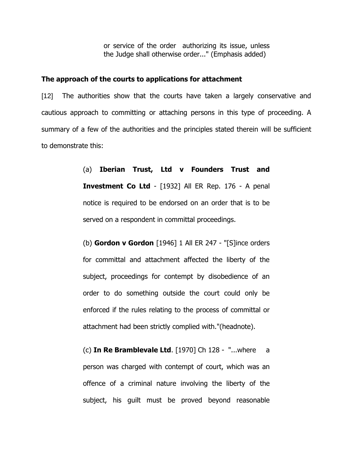or service of the order authorizing its issue, unless the Judge shall otherwise order..." (Emphasis added)

#### **The approach of the courts to applications for attachment**

[12] The authorities show that the courts have taken a largely conservative and cautious approach to committing or attaching persons in this type of proceeding. A summary of a few of the authorities and the principles stated therein will be sufficient to demonstrate this:

> (a) **Iberian Trust, Ltd v Founders Trust and Investment Co Ltd** - [1932] All ER Rep. 176 - A penal notice is required to be endorsed on an order that is to be served on a respondent in committal proceedings.

> (b) **Gordon v Gordon** [1946] 1 All ER 247 - "[S]ince orders for committal and attachment affected the liberty of the subject, proceedings for contempt by disobedience of an order to do something outside the court could only be enforced if the rules relating to the process of committal or attachment had been strictly complied with."(headnote).

> (c) **In Re Bramblevale Ltd**. [1970] Ch 128 - "...where a person was charged with contempt of court, which was an offence of a criminal nature involving the liberty of the subject, his guilt must be proved beyond reasonable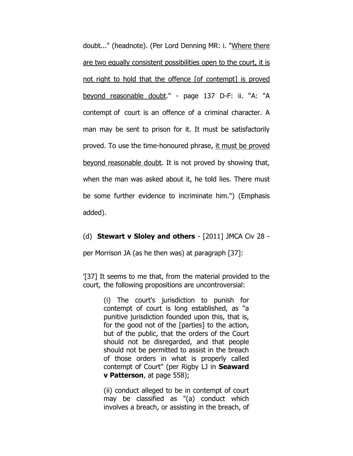doubt..." (headnote). (Per Lord Denning MR: i. "Where there are two equally consistent possibilities open to the court, it is not right to hold that the offence [of contempt] is proved beyond reasonable doubt." - page 137 D-F: ii. "A: "A contempt of court is an offence of a criminal character. A man may be sent to prison for it. It must be satisfactorily proved. To use the time-honoured phrase, it must be proved beyond reasonable doubt. It is not proved by showing that, when the man was asked about it, he told lies. There must be some further evidence to incriminate him.") (Emphasis added).

### (d) **Stewart v Sloley and others** - [2011] JMCA Civ 28 -

per Morrison JA (as he then was) at paragraph [37]:

'[37] It seems to me that, from the material provided to the court, the following propositions are uncontroversial:

> (i) The court's jurisdiction to punish for contempt of court is long established, as "a punitive jurisdiction founded upon this, that is, for the good not of the [parties] to the action, but of the public, that the orders of the Court should not be disregarded, and that people should not be permitted to assist in the breach of those orders in what is properly called contempt of Court" (per Rigby LJ in **Seaward v Patterson**, at page 558);

> (ii) conduct alleged to be in contempt of court may be classified as "(a) conduct which involves a breach, or assisting in the breach, of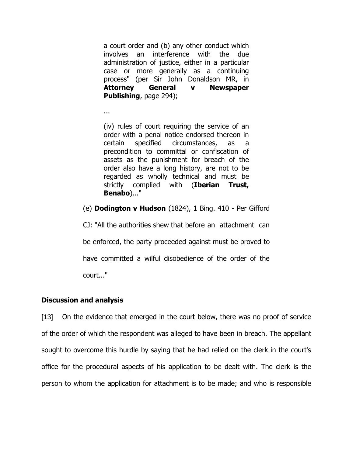a court order and (b) any other conduct which involves an interference with the due administration of justice, either in a particular case or more generally as a continuing process" (per Sir John Donaldson MR, in **Attorney General v Newspaper Publishing**, page 294);

(iv) rules of court requiring the service of an order with a penal notice endorsed thereon in certain specified circumstances, as a precondition to committal or confiscation of assets as the punishment for breach of the order also have a long history, are not to be regarded as wholly technical and must be strictly complied with (**Iberian Trust, Benabo**)..."

(e) **Dodington v Hudson** (1824), 1 Bing. 410 - Per Gifford

CJ: "All the authorities shew that before an attachment can be enforced, the party proceeded against must be proved to have committed a wilful disobedience of the order of the court..."

### **Discussion and analysis**

...

[13] On the evidence that emerged in the court below, there was no proof of service of the order of which the respondent was alleged to have been in breach. The appellant sought to overcome this hurdle by saying that he had relied on the clerk in the court's office for the procedural aspects of his application to be dealt with. The clerk is the person to whom the application for attachment is to be made; and who is responsible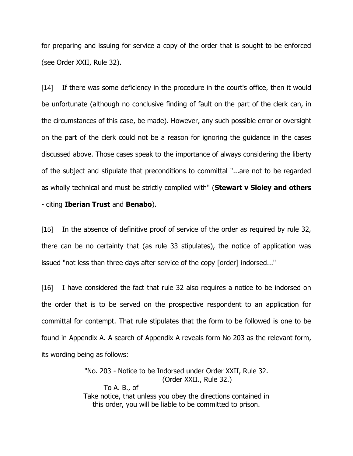for preparing and issuing for service a copy of the order that is sought to be enforced (see Order XXII, Rule 32).

[14] If there was some deficiency in the procedure in the court's office, then it would be unfortunate (although no conclusive finding of fault on the part of the clerk can, in the circumstances of this case, be made). However, any such possible error or oversight on the part of the clerk could not be a reason for ignoring the guidance in the cases discussed above. Those cases speak to the importance of always considering the liberty of the subject and stipulate that preconditions to committal "...are not to be regarded as wholly technical and must be strictly complied with" (**Stewart v Sloley and others** - citing **Iberian Trust** and **Benabo**).

[15] In the absence of definitive proof of service of the order as required by rule 32, there can be no certainty that (as rule 33 stipulates), the notice of application was issued "not less than three days after service of the copy [order] indorsed..."

[16] I have considered the fact that rule 32 also requires a notice to be indorsed on the order that is to be served on the prospective respondent to an application for committal for contempt. That rule stipulates that the form to be followed is one to be found in Appendix A. A search of Appendix A reveals form No 203 as the relevant form, its wording being as follows:

> "No. 203 - Notice to be Indorsed under Order XXII, Rule 32. (Order XXII., Rule 32.) To A. B., of Take notice, that unless you obey the directions contained in this order, you will be liable to be committed to prison.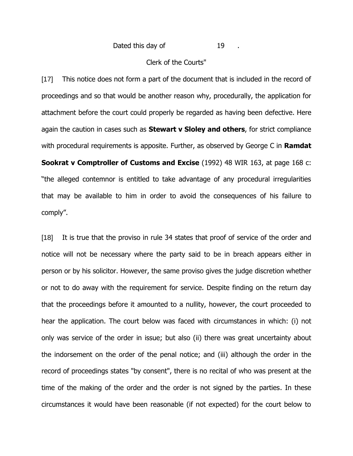#### Clerk of the Courts"

[17] This notice does not form a part of the document that is included in the record of proceedings and so that would be another reason why, procedurally, the application for attachment before the court could properly be regarded as having been defective. Here again the caution in cases such as **Stewart v Sloley and others**, for strict compliance with procedural requirements is apposite. Further, as observed by George C in **Ramdat Sookrat v Comptroller of Customs and Excise** (1992) 48 WIR 163, at page 168 c: "the alleged contemnor is entitled to take advantage of any procedural irregularities that may be available to him in order to avoid the consequences of his failure to comply".

[18] It is true that the proviso in rule 34 states that proof of service of the order and notice will not be necessary where the party said to be in breach appears either in person or by his solicitor. However, the same proviso gives the judge discretion whether or not to do away with the requirement for service. Despite finding on the return day that the proceedings before it amounted to a nullity, however, the court proceeded to hear the application. The court below was faced with circumstances in which: (i) not only was service of the order in issue; but also (ii) there was great uncertainty about the indorsement on the order of the penal notice; and (iii) although the order in the record of proceedings states "by consent", there is no recital of who was present at the time of the making of the order and the order is not signed by the parties. In these circumstances it would have been reasonable (if not expected) for the court below to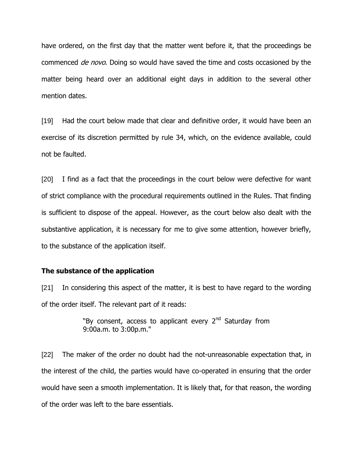have ordered, on the first day that the matter went before it, that the proceedings be commenced *de novo*. Doing so would have saved the time and costs occasioned by the matter being heard over an additional eight days in addition to the several other mention dates.

[19] Had the court below made that clear and definitive order, it would have been an exercise of its discretion permitted by rule 34, which, on the evidence available, could not be faulted.

[20] I find as a fact that the proceedings in the court below were defective for want of strict compliance with the procedural requirements outlined in the Rules. That finding is sufficient to dispose of the appeal. However, as the court below also dealt with the substantive application, it is necessary for me to give some attention, however briefly, to the substance of the application itself.

#### **The substance of the application**

[21] In considering this aspect of the matter, it is best to have regard to the wording of the order itself. The relevant part of it reads:

> "By consent, access to applicant every  $2<sup>nd</sup>$  Saturday from 9:00a.m. to 3:00p.m."

[22] The maker of the order no doubt had the not-unreasonable expectation that, in the interest of the child, the parties would have co-operated in ensuring that the order would have seen a smooth implementation. It is likely that, for that reason, the wording of the order was left to the bare essentials.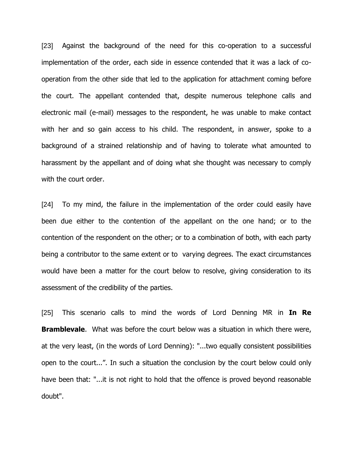[23] Against the background of the need for this co-operation to a successful implementation of the order, each side in essence contended that it was a lack of cooperation from the other side that led to the application for attachment coming before the court. The appellant contended that, despite numerous telephone calls and electronic mail (e-mail) messages to the respondent, he was unable to make contact with her and so gain access to his child. The respondent, in answer, spoke to a background of a strained relationship and of having to tolerate what amounted to harassment by the appellant and of doing what she thought was necessary to comply with the court order.

[24] To my mind, the failure in the implementation of the order could easily have been due either to the contention of the appellant on the one hand; or to the contention of the respondent on the other; or to a combination of both, with each party being a contributor to the same extent or to varying degrees. The exact circumstances would have been a matter for the court below to resolve, giving consideration to its assessment of the credibility of the parties.

[25] This scenario calls to mind the words of Lord Denning MR in **In Re Bramblevale.** What was before the court below was a situation in which there were, at the very least, (in the words of Lord Denning): "...two equally consistent possibilities open to the court...". In such a situation the conclusion by the court below could only have been that: "...it is not right to hold that the offence is proved beyond reasonable doubt".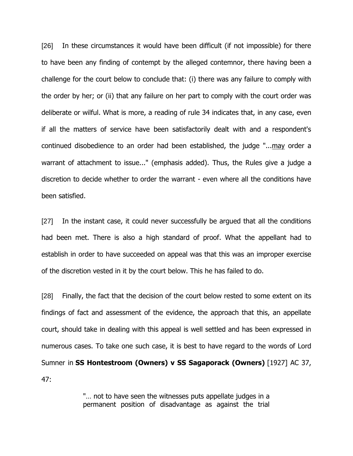[26] In these circumstances it would have been difficult (if not impossible) for there to have been any finding of contempt by the alleged contemnor, there having been a challenge for the court below to conclude that: (i) there was any failure to comply with the order by her; or (ii) that any failure on her part to comply with the court order was deliberate or wilful. What is more, a reading of rule 34 indicates that, in any case, even if all the matters of service have been satisfactorily dealt with and a respondent's continued disobedience to an order had been established, the judge "...may order a warrant of attachment to issue..." (emphasis added). Thus, the Rules give a judge a discretion to decide whether to order the warrant - even where all the conditions have been satisfied.

[27] In the instant case, it could never successfully be argued that all the conditions had been met. There is also a high standard of proof. What the appellant had to establish in order to have succeeded on appeal was that this was an improper exercise of the discretion vested in it by the court below. This he has failed to do.

[28] Finally, the fact that the decision of the court below rested to some extent on its findings of fact and assessment of the evidence, the approach that this, an appellate court, should take in dealing with this appeal is well settled and has been expressed in numerous cases. To take one such case, it is best to have regard to the words of Lord Sumner in **SS Hontestroom (Owners) v SS Sagaporack (Owners)** [1927] AC 37, 47:

> "… not to have seen the witnesses puts appellate judges in a permanent position of disadvantage as against the trial